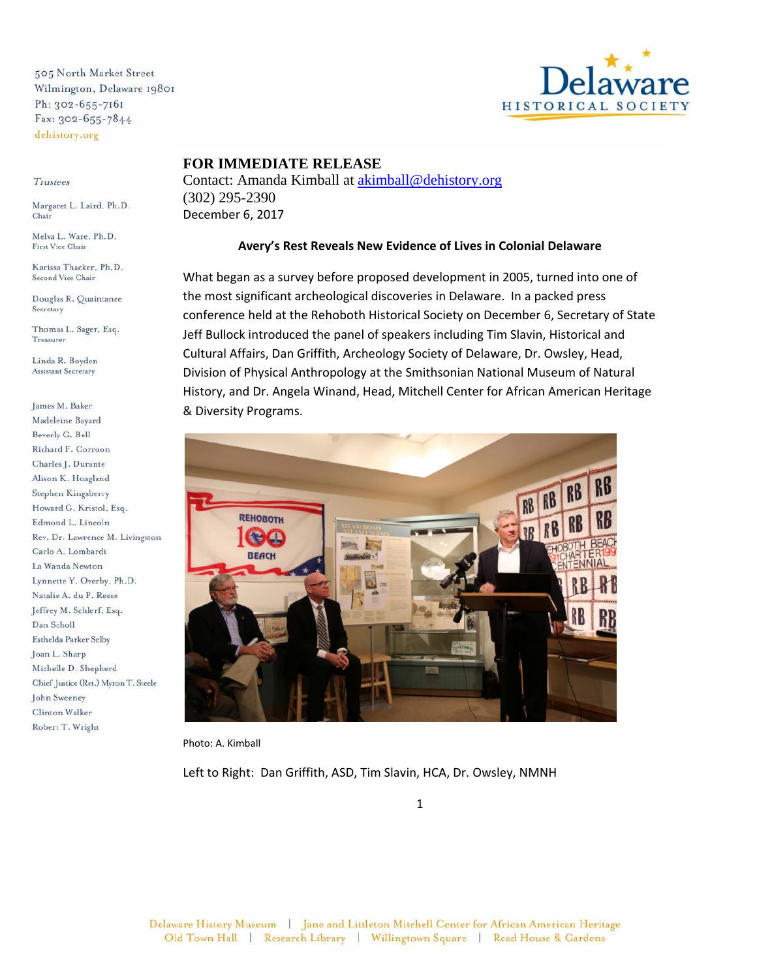505 North Market Street Wilmington, Delaware 19801 Ph: 302-655-7161 Fax: 302-655-7844 dehistory.org

## Trustees

Margaret L. Laird, Ph.D. Chair

First Vice Chair

Karissa Thacker, Ph.D. Second Vice Chair

Douglas R. Quaintance Secretary

Thomas L. Sager, Esq. Treasurer

Linda R. Boyden **Assistant Secretary** 

James M. Baker Madeleine Bayard Beverly G. Bell Richard F. Corroon Charles J. Durante Alison K. Hoagland Stephen Kingsberry Howard G. Kristol, Esq. Edmond L. Lincoln Rev. Dr. Lawrence M. Livingston Carlo A. Lombardi La Wanda Newton Lynnette Y. Overby, Ph.D. Natalie A. du P. Reese Jeffrey M. Schlerf, Esq. Dan Scholl Esthelda Parker Selby Joan L. Sharp Michelle D. Shepherd Chief Justice (Ret.) Myron T. Steele John Sweeney Clinton Walker Robert T. Wright



## **FOR IMMEDIATE RELEASE**

Contact: Amanda Kimball at akimball@dehistory.org (302) 295-2390 December 6, 2017

## **Avery's Rest Reveals New Evidence of Lives in Colonial Delaware**

What began as a survey before proposed development in 2005, turned into one of the most significant archeological discoveries in Delaware. In a packed press conference held at the Rehoboth Historical Society on December 6, Secretary of State Jeff Bullock introduced the panel of speakers including Tim Slavin, Historical and Cultural Affairs, Dan Griffith, Archeology Society of Delaware, Dr. Owsley, Head, Division of Physical Anthropology at the Smithsonian National Museum of Natural History, and Dr. Angela Winand, Head, Mitchell Center for African American Heritage & Diversity Programs.



Photo: A. Kimball

Left to Right: Dan Griffith, ASD, Tim Slavin, HCA, Dr. Owsley, NMNH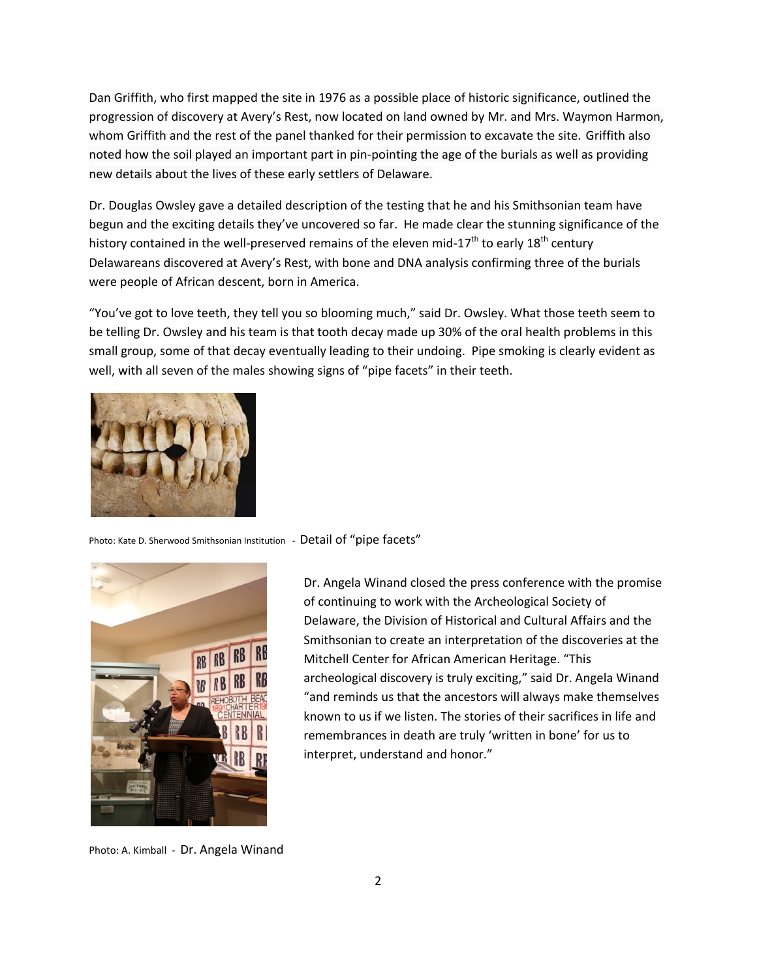Dan Griffith, who first mapped the site in 1976 as a possible place of historic significance, outlined the progression of discovery at Avery's Rest, now located on land owned by Mr. and Mrs. Waymon Harmon, whom Griffith and the rest of the panel thanked for their permission to excavate the site. Griffith also noted how the soil played an important part in pin-pointing the age of the burials as well as providing new details about the lives of these early settlers of Delaware.

Dr. Douglas Owsley gave a detailed description of the testing that he and his Smithsonian team have begun and the exciting details they've uncovered so far. He made clear the stunning significance of the history contained in the well-preserved remains of the eleven mid-17<sup>th</sup> to early 18<sup>th</sup> century Delawareans discovered at Avery's Rest, with bone and DNA analysis confirming three of the burials were people of African descent, born in America.

"You've got to love teeth, they tell you so blooming much," said Dr. Owsley. What those teeth seem to be telling Dr. Owsley and his team is that tooth decay made up 30% of the oral health problems in this small group, some of that decay eventually leading to their undoing. Pipe smoking is clearly evident as well, with all seven of the males showing signs of "pipe facets" in their teeth.



Photo: Kate D. Sherwood Smithsonian Institution - Detail of "pipe facets"



Dr. Angela Winand closed the press conference with the promise of continuing to work with the Archeological Society of Delaware, the Division of Historical and Cultural Affairs and the Smithsonian to create an interpretation of the discoveries at the Mitchell Center for African American Heritage. "This archeological discovery is truly exciting," said Dr. Angela Winand "and reminds us that the ancestors will always make themselves known to us if we listen. The stories of their sacrifices in life and remembrances in death are truly 'written in bone' for us to interpret, understand and honor."

Photo: A. Kimball - Dr. Angela Winand